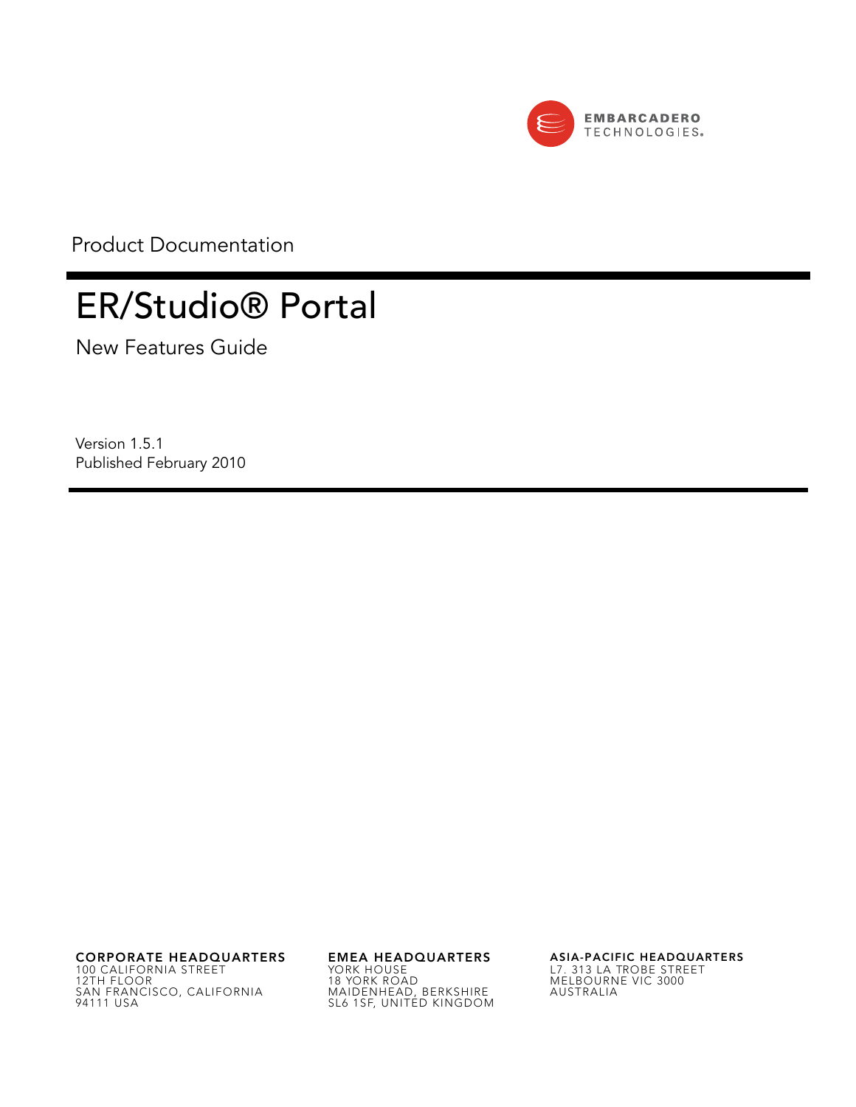

Product Documentation

# ER/Studio® Portal

New Features Guide

Version 1.5.1 Published February 2010

**CORPORATE HEADQUARTERS EMEA HEADQUARTERS ASIA-PACIFIC HEADQUARTERS** 100 CALIFORNIA STREET 12TH FLOOR SAN FRANCISCO, CALIFORNIA 94111 USA

YORK HOUSE 18 YORK ROAD MAIDENHEAD, BERKSHIRE SL6 1SF, UNITED KINGDOM

L7. 313 LA TROBE STREET MELBOURNE VIC 3000 AUSTRALIA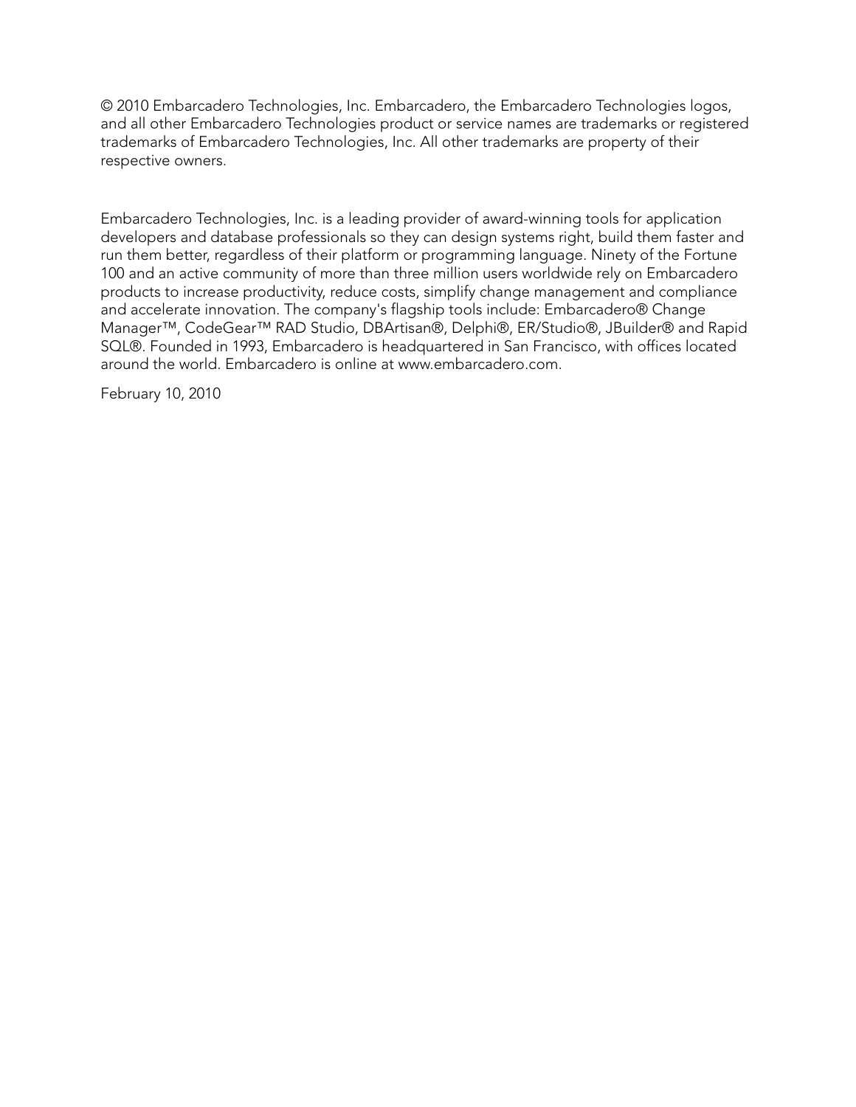© 2010 Embarcadero Technologies, Inc. Embarcadero, the Embarcadero Technologies logos, and all other Embarcadero Technologies product or service names are trademarks or registered trademarks of Embarcadero Technologies, Inc. All other trademarks are property of their respective owners.

Embarcadero Technologies, Inc. is a leading provider of award-winning tools for application developers and database professionals so they can design systems right, build them faster and run them better, regardless of their platform or programming language. Ninety of the Fortune 100 and an active community of more than three million users worldwide rely on Embarcadero products to increase productivity, reduce costs, simplify change management and compliance and accelerate innovation. The company's flagship tools include: Embarcadero® Change Manager™, CodeGear™ RAD Studio, DBArtisan®, Delphi®, ER/Studio®, JBuilder® and Rapid SQL®. Founded in 1993, Embarcadero is headquartered in San Francisco, with offices located around the world. Embarcadero is online at www.embarcadero.com.

February 10, 2010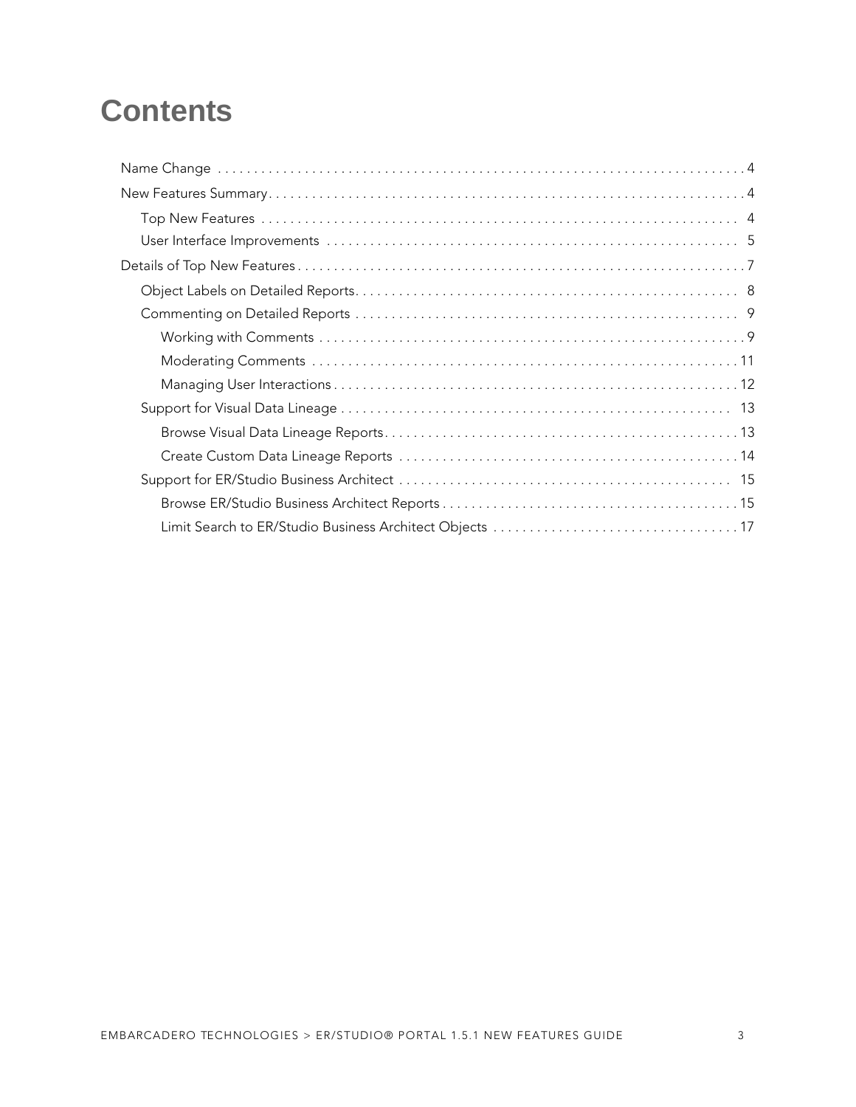# **Contents**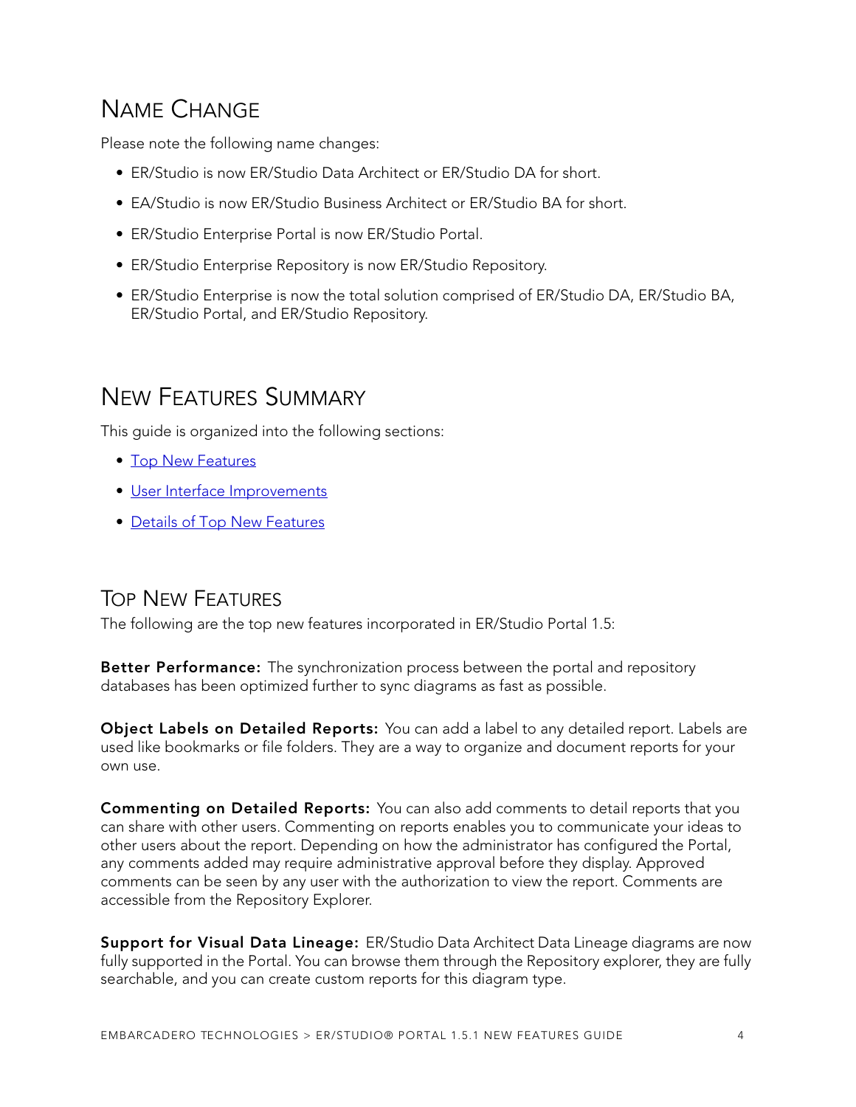# <span id="page-3-0"></span>NAME CHANGE

Please note the following name changes:

- ER/Studio is now ER/Studio Data Architect or ER/Studio DA for short.
- EA/Studio is now ER/Studio Business Architect or ER/Studio BA for short.
- ER/Studio Enterprise Portal is now ER/Studio Portal.
- ER/Studio Enterprise Repository is now ER/Studio Repository.
- ER/Studio Enterprise is now the total solution comprised of ER/Studio DA, ER/Studio BA, ER/Studio Portal, and ER/Studio Repository.

# <span id="page-3-1"></span>NEW FEATURES SUMMARY

This guide is organized into the following sections:

- [Top New Features](#page-3-2)
- [User Interface Improvements](#page-4-0)
- [Details of Top New Features](#page-6-0)

### <span id="page-3-2"></span>TOP NEW FEATURES

The following are the top new features incorporated in ER/Studio Portal 1.5:

**Better Performance:** The synchronization process between the portal and repository databases has been optimized further to sync diagrams as fast as possible.

**Object Labels on Detailed Reports:** You can add a label to any detailed report. Labels are used like bookmarks or file folders. They are a way to organize and document reports for your own use.

**Commenting on Detailed Reports:** You can also add comments to detail reports that you can share with other users. Commenting on reports enables you to communicate your ideas to other users about the report. Depending on how the administrator has configured the Portal, any comments added may require administrative approval before they display. Approved comments can be seen by any user with the authorization to view the report. Comments are accessible from the Repository Explorer.

**Support for Visual Data Lineage:** ER/Studio Data Architect Data Lineage diagrams are now fully supported in the Portal. You can browse them through the Repository explorer, they are fully searchable, and you can create custom reports for this diagram type.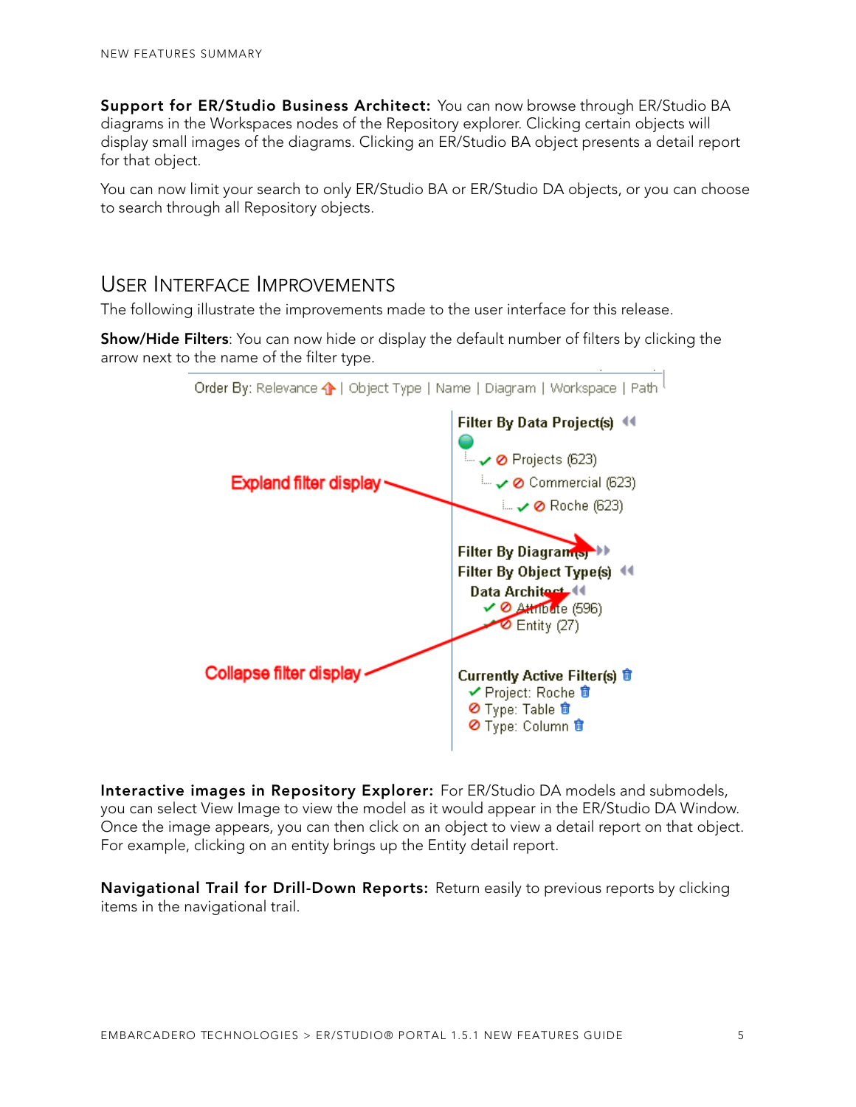**Support for ER/Studio Business Architect:** You can now browse through ER/Studio BA diagrams in the Workspaces nodes of the Repository explorer. Clicking certain objects will display small images of the diagrams. Clicking an ER/Studio BA object presents a detail report for that object.

You can now limit your search to only ER/Studio BA or ER/Studio DA objects, or you can choose to search through all Repository objects.

### <span id="page-4-0"></span>USER INTERFACE IMPROVEMENTS

The following illustrate the improvements made to the user interface for this release.

**Show/Hide Filters**: You can now hide or display the default number of filters by clicking the arrow next to the name of the filter type.



**Interactive images in Repository Explorer:** For ER/Studio DA models and submodels, you can select View Image to view the model as it would appear in the ER/Studio DA Window. Once the image appears, you can then click on an object to view a detail report on that object. For example, clicking on an entity brings up the Entity detail report.

**Navigational Trail for Drill-Down Reports:** Return easily to previous reports by clicking items in the navigational trail.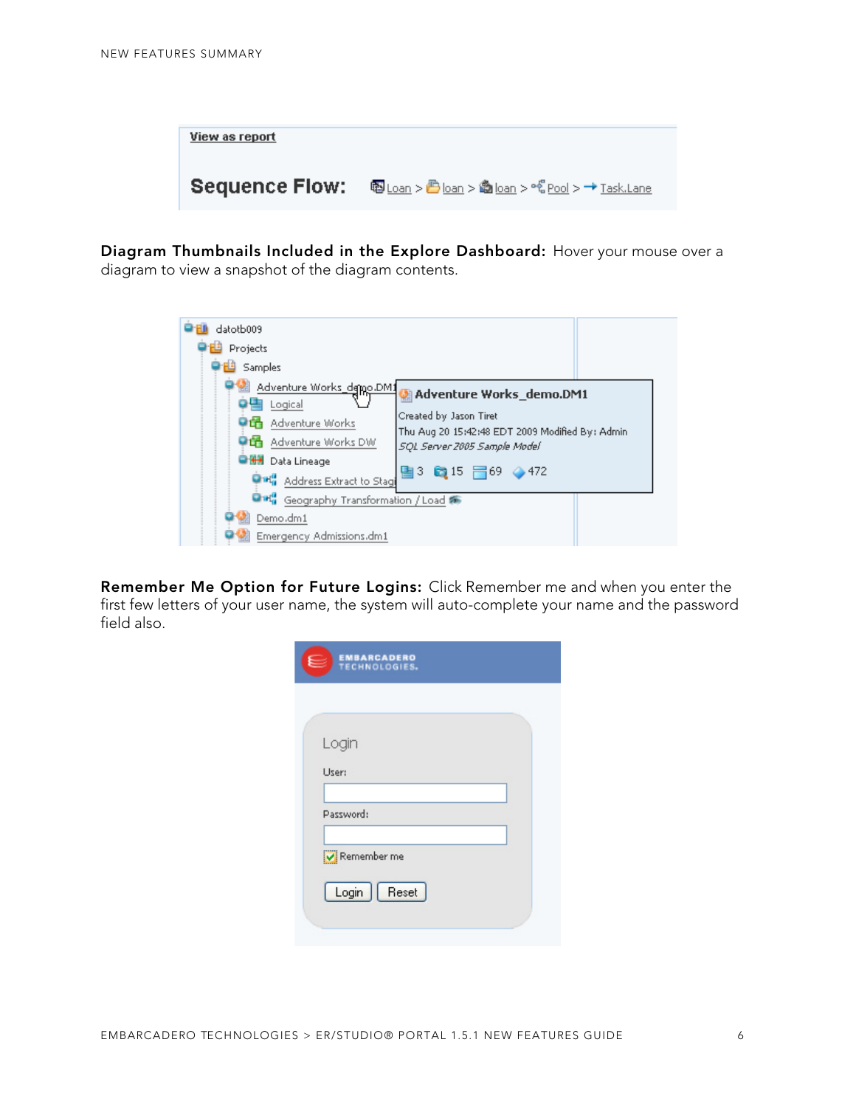| View as report        |                                                |
|-----------------------|------------------------------------------------|
| <b>Sequence Flow:</b> | 啊Loan > ● loan > ● loan > ~ Pool > → Task.Lane |

**Diagram Thumbnails Included in the Explore Dashboard:** Hover your mouse over a diagram to view a snapshot of the diagram contents.

| datotb009<br>Projects                                                                                                                                 |                                                                                                                                                             |
|-------------------------------------------------------------------------------------------------------------------------------------------------------|-------------------------------------------------------------------------------------------------------------------------------------------------------------|
| Samples                                                                                                                                               |                                                                                                                                                             |
| Adventure Works_demo.DM1<br>Logical<br>● ddventure Works<br>● 请 Adventure Works DW<br><b>O GH</b> Data Lineage<br><b>One"</b> Address Extract to Stag | Adventure Works_demo.DM1<br>Created by Jason Tiret<br>Thu Aug 20 15:42:48 EDT 2009 Modified By: Admin.<br>SQL Server 2005 Sample Model<br>■3 ■15 1 69 ● 472 |
| <b>Dift</b> Geography Transformation / Load 編                                                                                                         |                                                                                                                                                             |
| Demo.dm1                                                                                                                                              |                                                                                                                                                             |
| Emergency Admissions.dm1                                                                                                                              |                                                                                                                                                             |

**Remember Me Option for Future Logins:** Click Remember me and when you enter the first few letters of your user name, the system will auto-complete your name and the password field also.

| <b>EMBARCADERO</b><br>TECHNOLOGIES.<br>E |  |
|------------------------------------------|--|
|                                          |  |
| Login                                    |  |
| User:                                    |  |
| Password:                                |  |
| Remember me                              |  |
| Login   Reset                            |  |
|                                          |  |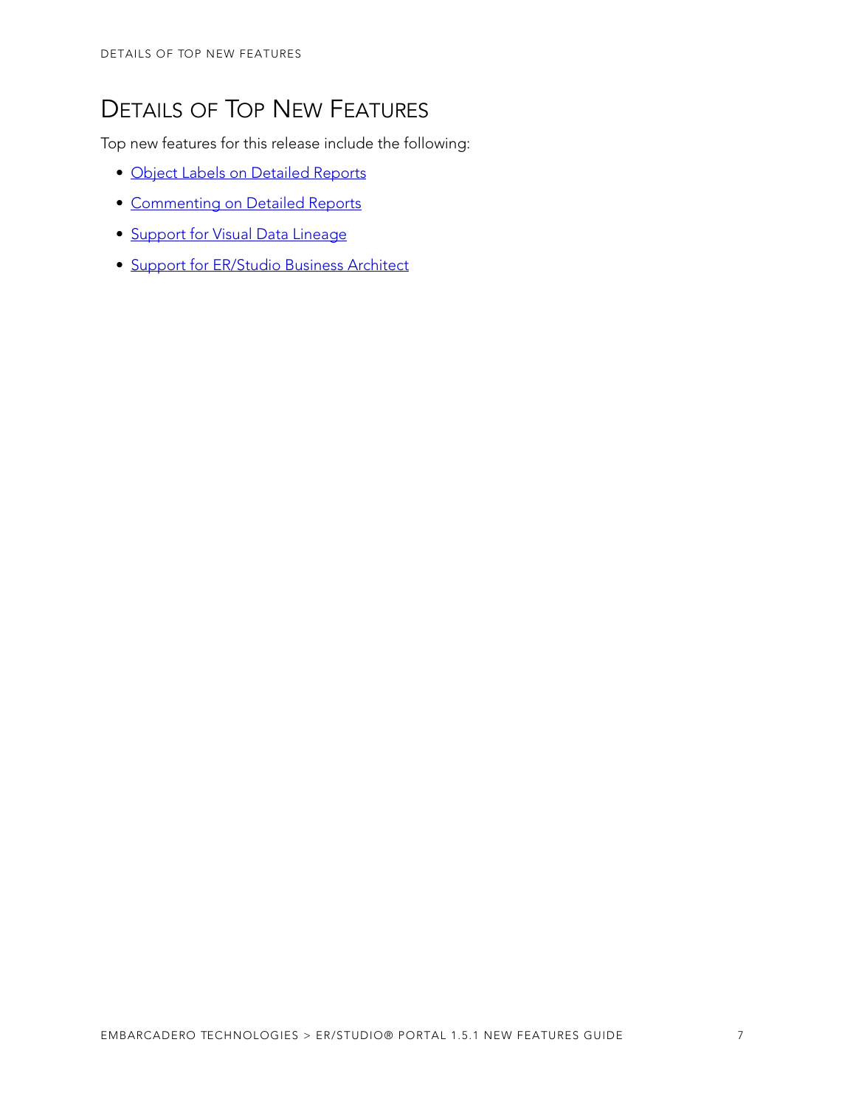# <span id="page-6-0"></span>DETAILS OF TOP NEW FEATURES

Top new features for this release include the following:

- [Object Labels on Detailed Reports](#page-7-0)
- [Commenting on Detailed Reports](#page-8-0)
- [Support for Visual Data Lineage](#page-12-0)
- [Support for ER/Studio Business Architect](#page-14-0)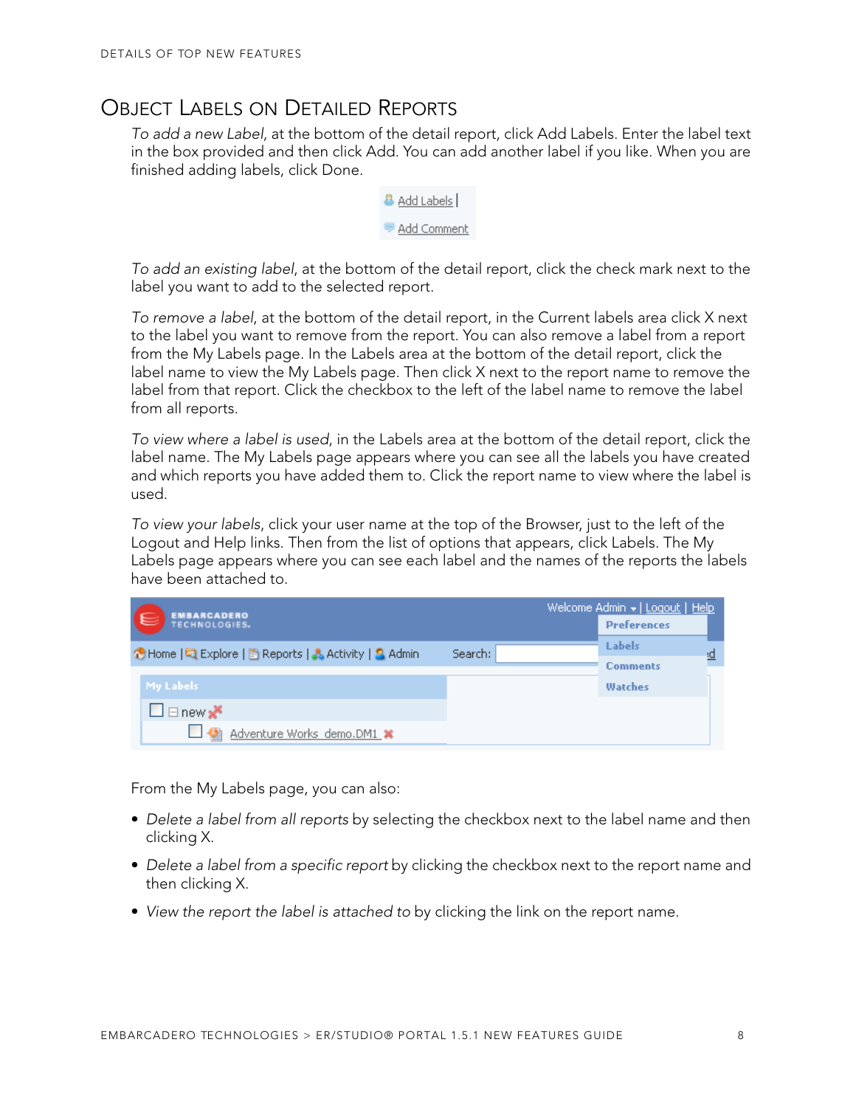## <span id="page-7-0"></span>OBJECT LABELS ON DETAILED REPORTS

To add a new Label, at the bottom of the detail report, click Add Labels. Enter the label text in the box provided and then click Add. You can add another label if you like. When you are finished adding labels, click Done.

| idd Labels I |
|--------------|
| idd Comment  |

To add an existing label, at the bottom of the detail report, click the check mark next to the label you want to add to the selected report.

To remove a label, at the bottom of the detail report, in the Current labels area click X next to the label you want to remove from the report. You can also remove a label from a report from the My Labels page. In the Labels area at the bottom of the detail report, click the label name to view the My Labels page. Then click X next to the report name to remove the label from that report. Click the checkbox to the left of the label name to remove the label from all reports.

To view where a label is used, in the Labels area at the bottom of the detail report, click the label name. The My Labels page appears where you can see all the labels you have created and which reports you have added them to. Click the report name to view where the label is used.

To view your labels, click your user name at the top of the Browser, just to the left of the Logout and Help links. Then from the list of options that appears, click Labels. The My Labels page appears where you can see each label and the names of the reports the labels have been attached to.

| <b>EMBARCADERO</b><br>$\epsilon$<br>TECHNOLOGIES.      |         | Welcome Admin +   Logout   Help<br><b>Preferences</b> |
|--------------------------------------------------------|---------|-------------------------------------------------------|
| ↑ Home   El Explore   B Reports   & Activity   3 Admin | Search: | <b>Labels</b><br><u>:О</u>                            |
|                                                        |         | <b>Comments</b>                                       |
| My Labels                                              |         | Watches                                               |
| $\Box$ $\Box$ new $\mathbf{r}$                         |         |                                                       |
| Adventure Works demo.DM1 *                             |         |                                                       |

From the My Labels page, you can also:

- Delete a label from all reports by selecting the checkbox next to the label name and then clicking X.
- Delete a label from a specific report by clicking the checkbox next to the report name and then clicking X.
- View the report the label is attached to by clicking the link on the report name.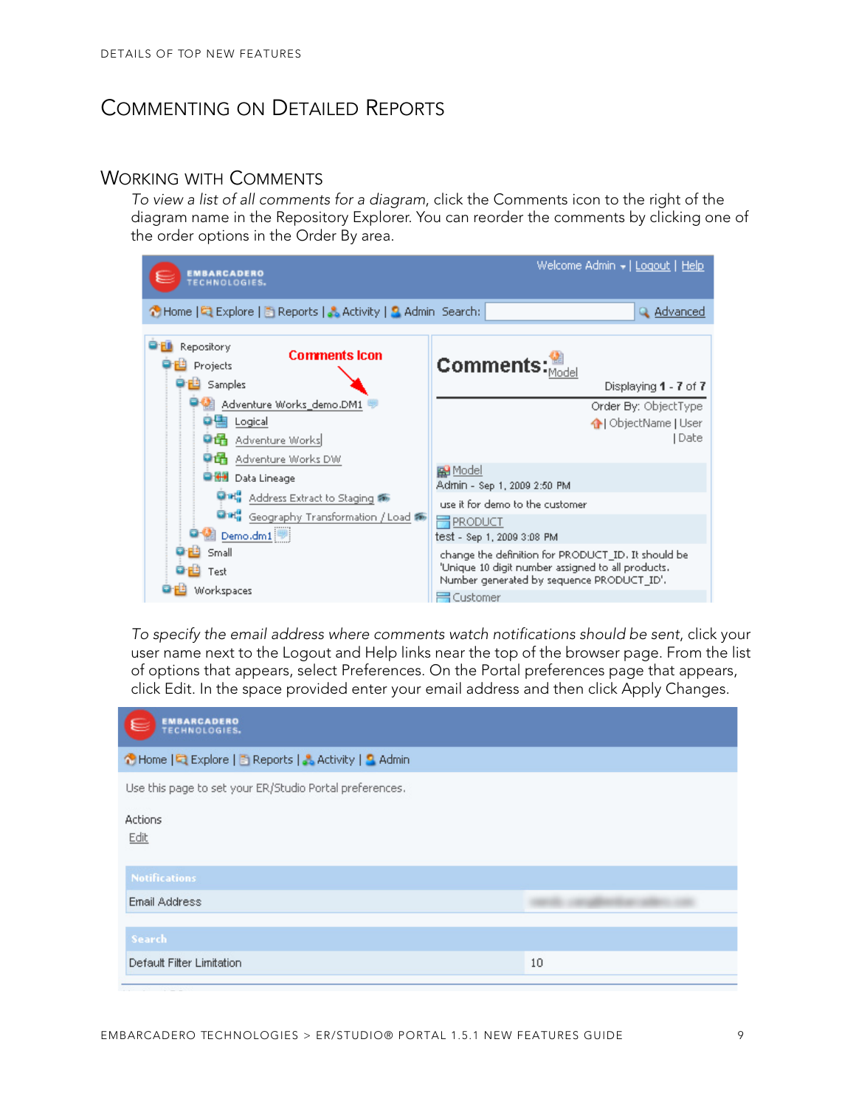## <span id="page-8-0"></span>COMMENTING ON DETAILED REPORTS

#### <span id="page-8-1"></span>WORKING WITH COMMENTS

To view a list of all comments for a diagram, click the Comments icon to the right of the diagram name in the Repository Explorer. You can reorder the comments by clicking one of the order options in the Order By area.



To specify the email address where comments watch notifications should be sent, click your user name next to the Logout and Help links near the top of the browser page. From the list of options that appears, select Preferences. On the Portal preferences page that appears, click Edit. In the space provided enter your email address and then click Apply Changes.

| <b>EMBARCADERO</b><br>TECHNOLOGIES.                     |    |
|---------------------------------------------------------|----|
| ↑ Home   ■ Explore   B Reports   & Activity   ■ Admin   |    |
| Use this page to set your ER/Studio Portal preferences. |    |
| <b>Actions</b><br>Edit                                  |    |
| <b>Notifications</b>                                    |    |
| <b>Email Address</b>                                    |    |
| <b>Search</b>                                           |    |
| Default Filter Limitation                               | 10 |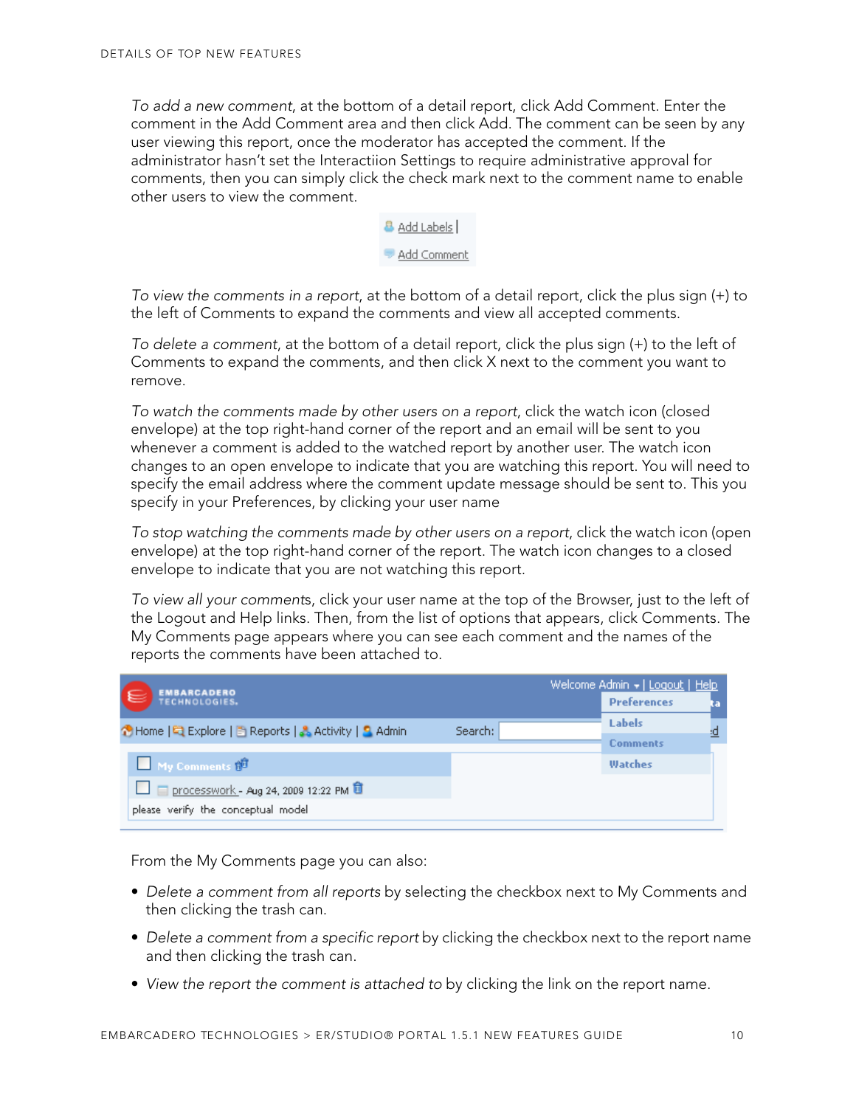To add a new comment, at the bottom of a detail report, click Add Comment. Enter the comment in the Add Comment area and then click Add. The comment can be seen by any user viewing this report, once the moderator has accepted the comment. If the administrator hasn't set the Interactiion Settings to require administrative approval for comments, then you can simply click the check mark next to the comment name to enable other users to view the comment.



To view the comments in a report, at the bottom of a detail report, click the plus sign (+) to the left of Comments to expand the comments and view all accepted comments.

To delete a comment, at the bottom of a detail report, click the plus sign (+) to the left of Comments to expand the comments, and then click X next to the comment you want to remove.

To watch the comments made by other users on a report, click the watch icon (closed envelope) at the top right-hand corner of the report and an email will be sent to you whenever a comment is added to the watched report by another user. The watch icon changes to an open envelope to indicate that you are watching this report. You will need to specify the email address where the comment update message should be sent to. This you specify in your Preferences, by clicking your user name

To stop watching the comments made by other users on a report, click the watch icon (open envelope) at the top right-hand corner of the report. The watch icon changes to a closed envelope to indicate that you are not watching this report.

To view all your comments, click your user name at the top of the Browser, just to the left of the Logout and Help links. Then, from the list of options that appears, click Comments. The My Comments page appears where you can see each comment and the names of the reports the comments have been attached to.

|                                                                  | Welcome Admin +   Logout   Help |  |  |
|------------------------------------------------------------------|---------------------------------|--|--|
| <b>EMBARCADERO</b><br>TECHNOLOGIES.<br>1€                        | <b>Preferences</b>              |  |  |
| ↑ Home   Q Explore   B Reports   & Activity   Q Admin<br>Search: | Labels                          |  |  |
|                                                                  | <b>Comments</b>                 |  |  |
| My Comments for                                                  | Watches                         |  |  |
| processwork - Aug 24, 2009 12:22 PM                              |                                 |  |  |
| please verify the conceptual model                               |                                 |  |  |

From the My Comments page you can also:

- Delete a comment from all reports by selecting the checkbox next to My Comments and then clicking the trash can.
- Delete a comment from a specific report by clicking the checkbox next to the report name and then clicking the trash can.
- View the report the comment is attached to by clicking the link on the report name.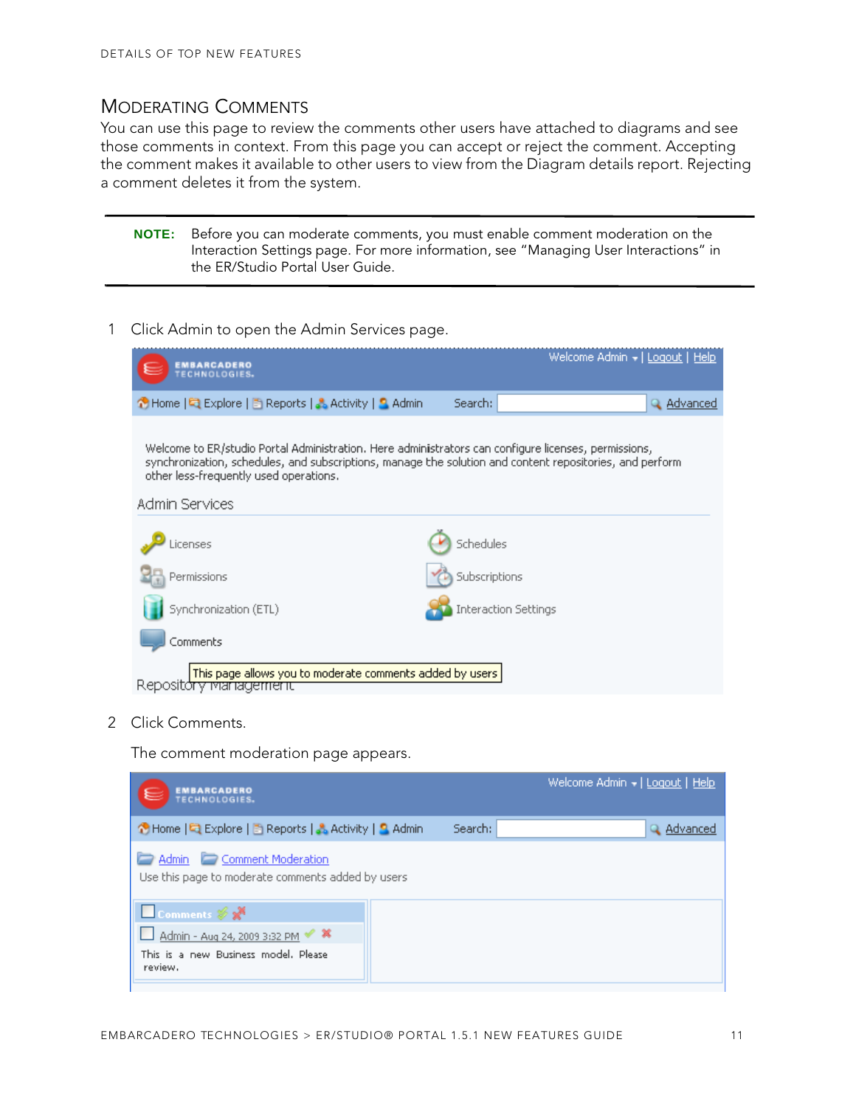#### <span id="page-10-0"></span>MODERATING COMMENTS

You can use this page to review the comments other users have attached to diagrams and see those comments in context. From this page you can accept or reject the comment. Accepting the comment makes it available to other users to view from the Diagram details report. Rejecting a comment deletes it from the system.

| <b>NOTE:</b> Before you can moderate comments, you must enable comment moderation on the |
|------------------------------------------------------------------------------------------|
| Interaction Settings page. For more information, see "Managing User Interactions" in     |
| the ER/Studio Portal User Guide.                                                         |

1 Click Admin to open the Admin Services page.

| <b>EMBARCADERO</b><br><b><i>FECHNOLOGIE</i></b>                                                                                                                                                                                                            | Welcome Admin →   Logout   Help |  |  |
|------------------------------------------------------------------------------------------------------------------------------------------------------------------------------------------------------------------------------------------------------------|---------------------------------|--|--|
| ↑ Home   Q Explore   B Reports   & Activity   S Admin                                                                                                                                                                                                      | Search:<br>Q Advanced           |  |  |
| Welcome to ER/studio Portal Administration. Here administrators can configure licenses, permissions,<br>synchronization, schedules, and subscriptions, manage the solution and content repositories, and perform<br>other less-frequently used operations. |                                 |  |  |
| Admin Services                                                                                                                                                                                                                                             |                                 |  |  |
| Licenses                                                                                                                                                                                                                                                   | Schedules                       |  |  |
| Permissions                                                                                                                                                                                                                                                | Subscriptions                   |  |  |
| Synchronization (ETL)                                                                                                                                                                                                                                      | <b>Interaction Settings</b>     |  |  |
| Comments                                                                                                                                                                                                                                                   |                                 |  |  |
| This page allows you to moderate comments added by users<br>Repository<br><u>management</u>                                                                                                                                                                |                                 |  |  |

2 Click Comments.

The comment moderation page appears.

| <b>EMBARCADERO</b><br><b>TECHNOLOGIES.</b>                                                            |         | Welcome Admin +   Logout   Help |
|-------------------------------------------------------------------------------------------------------|---------|---------------------------------|
| 수 Home   텍 Explore   El Reports   Activity   S. Admin                                                 | Search: | Q Advanced                      |
| Admin Comment Moderation<br>Use this page to moderate comments added by users                         |         |                                 |
| Comments & X<br>□ Admin - Aug 24, 2009 3:32 PM < *<br>This is a new Business model. Please<br>review. |         |                                 |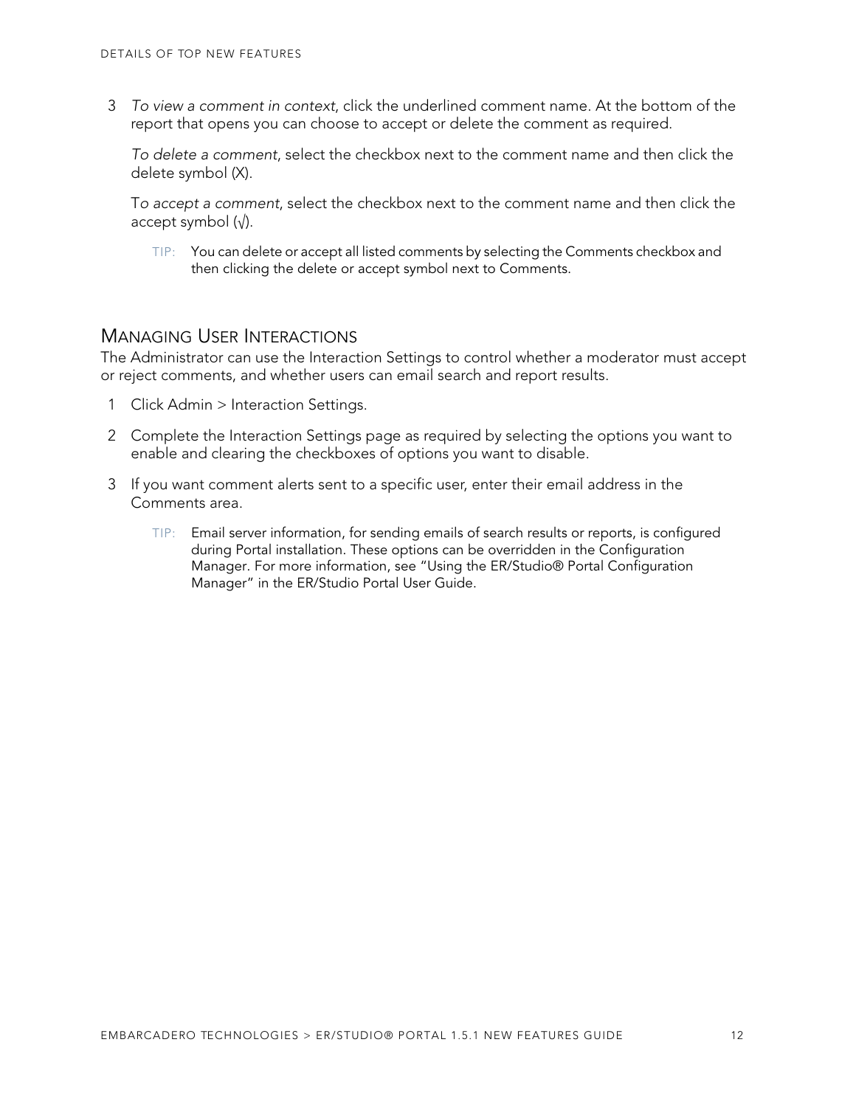3 To view a comment in context, click the underlined comment name. At the bottom of the report that opens you can choose to accept or delete the comment as required.

To delete a comment, select the checkbox next to the comment name and then click the delete symbol (X).

To accept a comment, select the checkbox next to the comment name and then click the accept symbol  $(\sqrt{)}$ .

TIP: You can delete or accept all listed comments by selecting the Comments checkbox and then clicking the delete or accept symbol next to Comments.

#### <span id="page-11-0"></span>MANAGING USER INTERACTIONS

The Administrator can use the Interaction Settings to control whether a moderator must accept or reject comments, and whether users can email search and report results.

- 1 Click Admin > Interaction Settings.
- 2 Complete the Interaction Settings page as required by selecting the options you want to enable and clearing the checkboxes of options you want to disable.
- 3 If you want comment alerts sent to a specific user, enter their email address in the Comments area.
	- TIP: Email server information, for sending emails of search results or reports, is configured during Portal installation. These options can be overridden in the Configuration Manager. For more information, see "Using the ER/Studio® Portal Configuration Manager" in the ER/Studio Portal User Guide.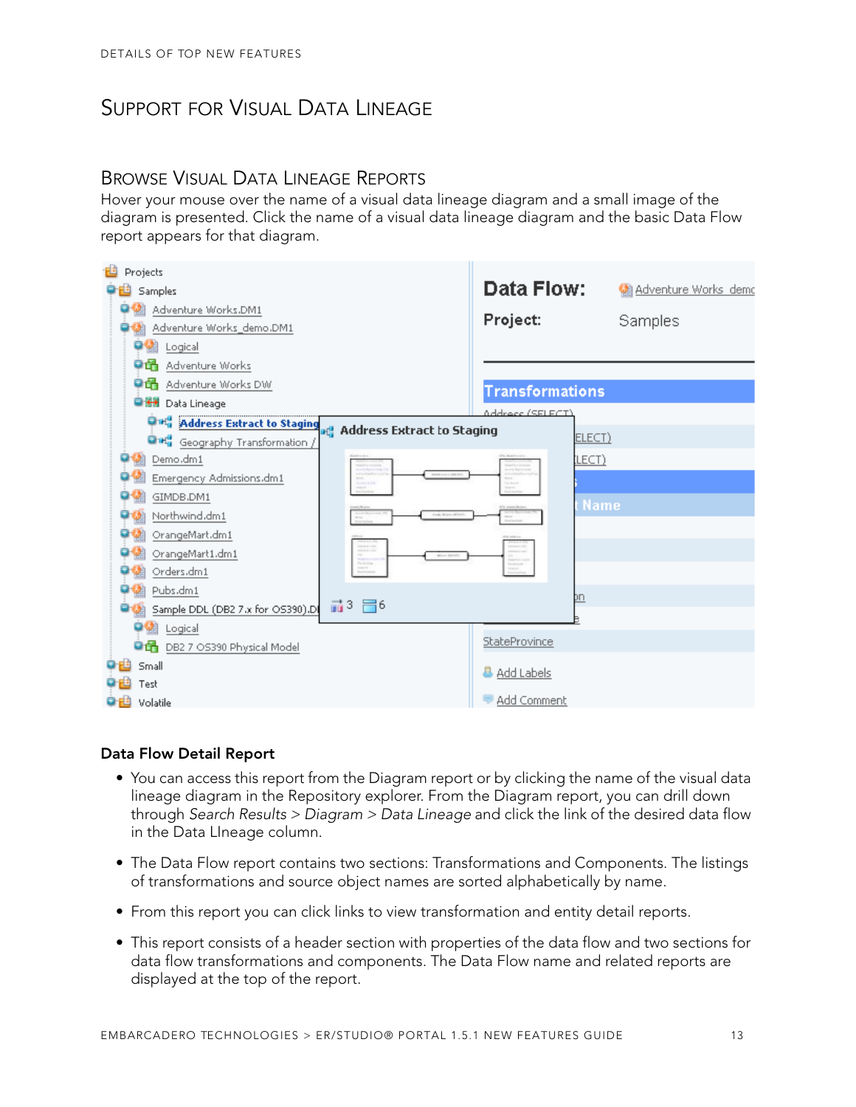# <span id="page-12-0"></span>SUPPORT FOR VISUAL DATA LINEAGE

### <span id="page-12-1"></span>BROWSE VISUAL DATA LINEAGE REPORTS

Hover your mouse over the name of a visual data lineage diagram and a small image of the diagram is presented. Click the name of a visual data lineage diagram and the basic Data Flow report appears for that diagram.



#### **Data Flow Detail Report**

- You can access this report from the Diagram report or by clicking the name of the visual data lineage diagram in the Repository explorer. From the Diagram report, you can drill down through Search Results > Diagram > Data Lineage and click the link of the desired data flow in the Data LIneage column.
- The Data Flow report contains two sections: Transformations and Components. The listings of transformations and source object names are sorted alphabetically by name.
- From this report you can click links to view transformation and entity detail reports.
- This report consists of a header section with properties of the data flow and two sections for data flow transformations and components. The Data Flow name and related reports are displayed at the top of the report.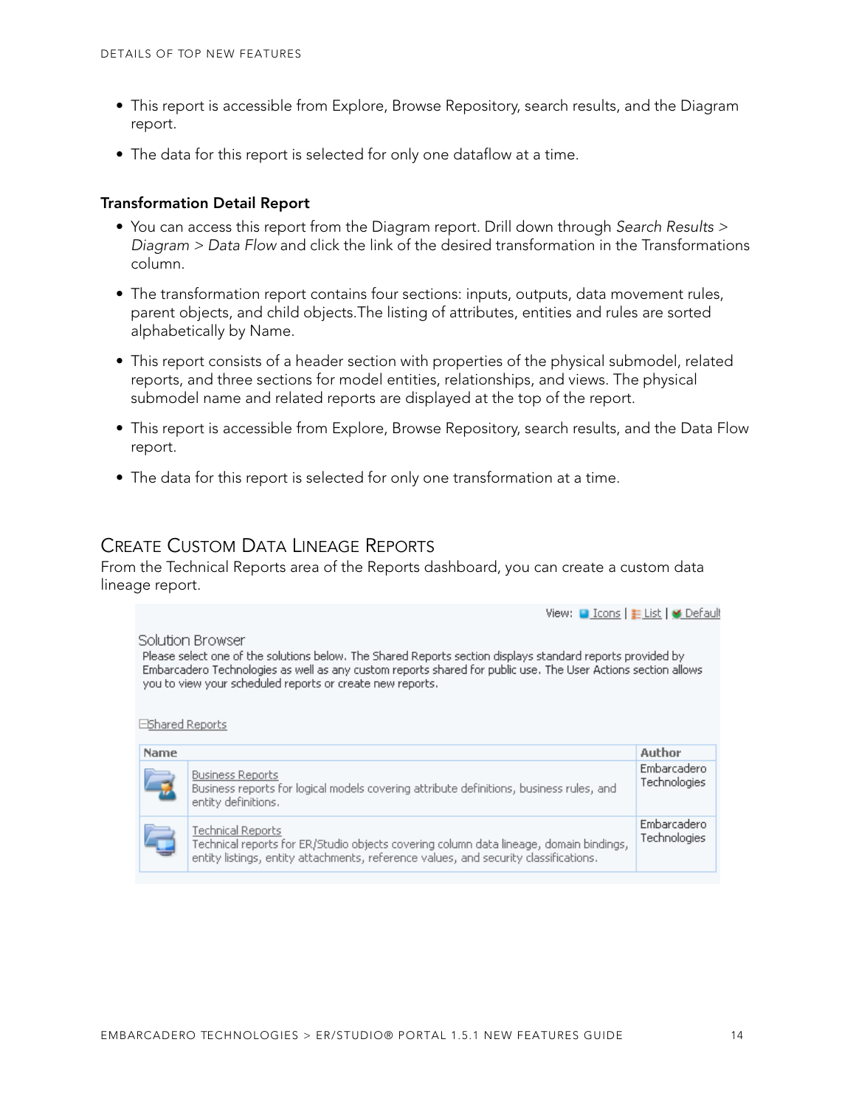- This report is accessible from Explore, Browse Repository, search results, and the Diagram report.
- The data for this report is selected for only one dataflow at a time.

#### **Transformation Detail Report**

- You can access this report from the Diagram report. Drill down through Search Results > Diagram > Data Flow and click the link of the desired transformation in the Transformations column.
- The transformation report contains four sections: inputs, outputs, data movement rules, parent objects, and child objects.The listing of attributes, entities and rules are sorted alphabetically by Name.
- This report consists of a header section with properties of the physical submodel, related reports, and three sections for model entities, relationships, and views. The physical submodel name and related reports are displayed at the top of the report.
- This report is accessible from Explore, Browse Repository, search results, and the Data Flow report.
- The data for this report is selected for only one transformation at a time.

#### <span id="page-13-0"></span>CREATE CUSTOM DATA LINEAGE REPORTS

From the Technical Reports area of the Reports dashboard, you can create a custom data lineage report.

#### View: ■ Icons | List | M Default Solution Browser Please select one of the solutions below. The Shared Reports section displays standard reports provided by Embarcadero Technologies as well as any custom reports shared for public use. The User Actions section allows you to view your scheduled reports or create new reports. EShared Reports Name Author Embarcadero **Business Reports** Technologies Business reports for logical models covering attribute definitions, business rules, and

|                             | entity definitions,                                                                                                                                                                                 |                             |
|-----------------------------|-----------------------------------------------------------------------------------------------------------------------------------------------------------------------------------------------------|-----------------------------|
| $\sqrt{2}$<br>▭<br>$\equiv$ | Technical Reports<br>Technical reports for ER/Studio objects covering column data lineage, domain bindings,<br>entity listings, entity attachments, reference values, and security classifications. | Embarcadero<br>Technologies |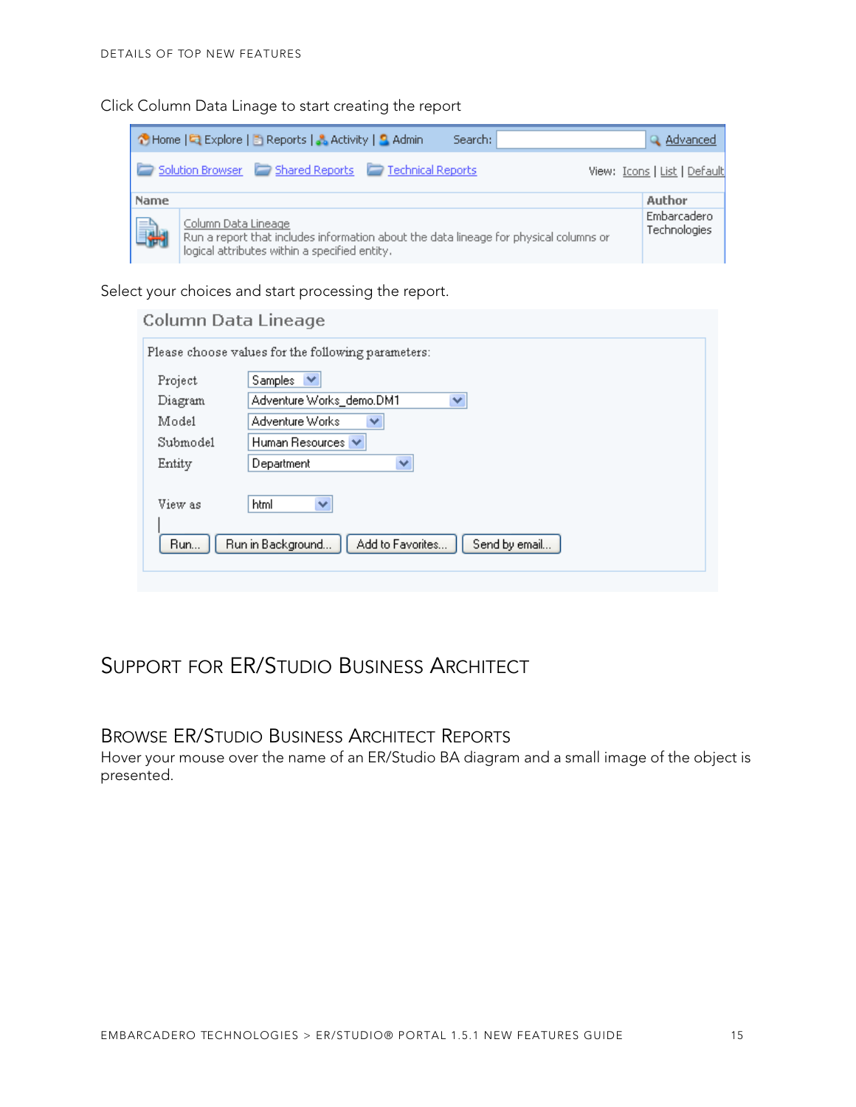Click Column Data Linage to start creating the report

| B Home   Q Explore   B Reports   & Activity   S Admin<br>Search:                                                                                                    | Q Advanced                   |
|---------------------------------------------------------------------------------------------------------------------------------------------------------------------|------------------------------|
| Solution Browser Shared Reports Technical Reports                                                                                                                   | View: Icons   List   Default |
| <b>Name</b>                                                                                                                                                         | Author                       |
| Column Data Lineage<br>i.<br>Run a report that includes information about the data lineage for physical columns or<br>logical attributes within a specified entity. | Embarcadero<br>Technologies  |

Select your choices and start processing the report.

| Column Data Lineage |                                                        |
|---------------------|--------------------------------------------------------|
|                     | Please choose values for the following parameters:     |
| Project             | Samples<br>$\checkmark$                                |
| Diagram             | Adventure Works_demo.DM1<br>×                          |
| Model               | Adventure Works<br>v                                   |
| Submodel            | Human Resources V                                      |
| Entity              | Department<br>v                                        |
| View as             | v<br>html                                              |
| Run                 | Add to Favorites<br>Run in Background<br>Send by email |
|                     |                                                        |

# <span id="page-14-0"></span>SUPPORT FOR ER/STUDIO BUSINESS ARCHITECT

#### <span id="page-14-1"></span>BROWSE ER/STUDIO BUSINESS ARCHITECT REPORTS

Hover your mouse over the name of an ER/Studio BA diagram and a small image of the object is presented.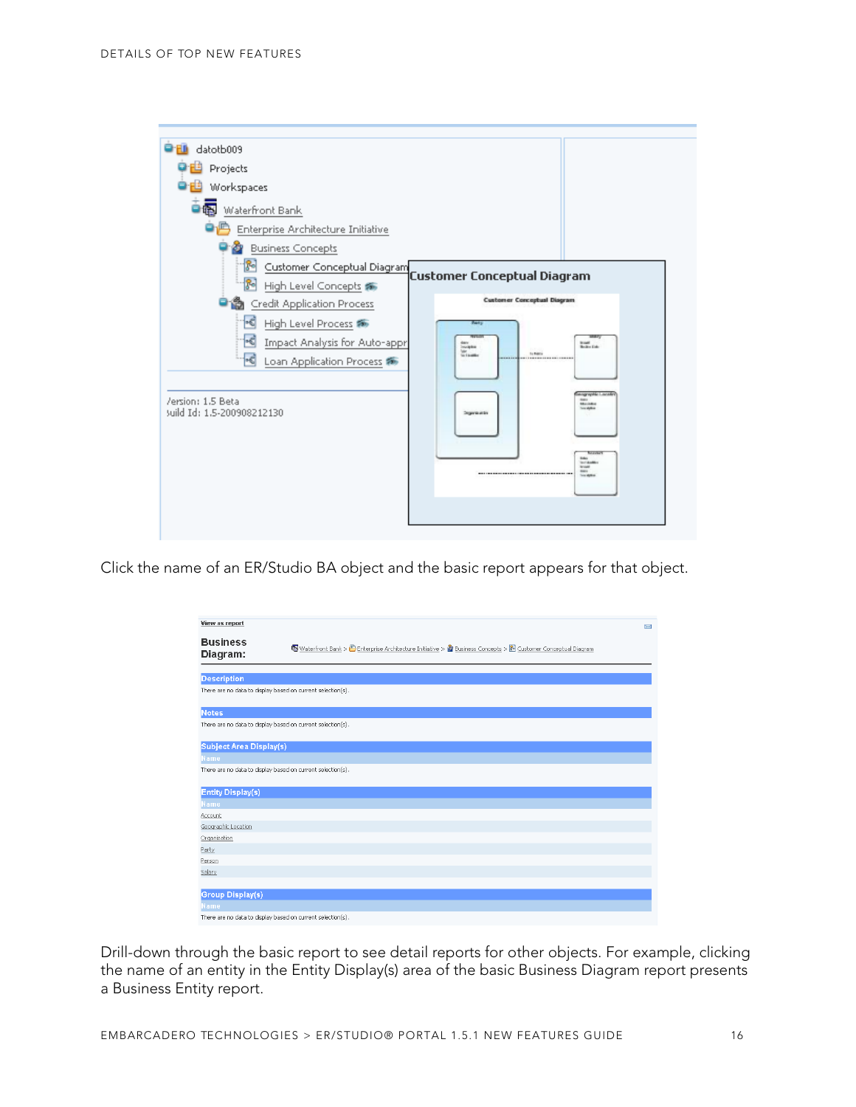

Click the name of an ER/Studio BA object and the basic report appears for that object.

| View as report                          |                                                                                                                | N |
|-----------------------------------------|----------------------------------------------------------------------------------------------------------------|---|
| <b>Business</b><br>Diagram:             | 图 Waterfront Bank > 图 Enterprise Architecture Initiative > 2 Business Concepts > 图 Customer Conceptual Diagram |   |
| <b>Description</b>                      |                                                                                                                |   |
|                                         | There are no data to display based on current selection(s).                                                    |   |
| <b>Notes</b>                            |                                                                                                                |   |
|                                         | There are no data to display based on current selection(s).                                                    |   |
| Subject Area Display(s)                 |                                                                                                                |   |
| Name                                    |                                                                                                                |   |
|                                         | There are no data to display based on current selection(s).                                                    |   |
|                                         |                                                                                                                |   |
| <b>Entity Display(s)</b><br><b>Name</b> |                                                                                                                |   |
| Account                                 |                                                                                                                |   |
| Geographic Location                     |                                                                                                                |   |
| Organization                            |                                                                                                                |   |
| Party                                   |                                                                                                                |   |
| Person                                  |                                                                                                                |   |
| Salary                                  |                                                                                                                |   |
|                                         |                                                                                                                |   |
| Group Display(s)                        |                                                                                                                |   |
| <b>Name</b>                             |                                                                                                                |   |
|                                         | There are no data to display based on current selection(s).                                                    |   |

Drill-down through the basic report to see detail reports for other objects. For example, clicking the name of an entity in the Entity Display(s) area of the basic Business Diagram report presents a Business Entity report.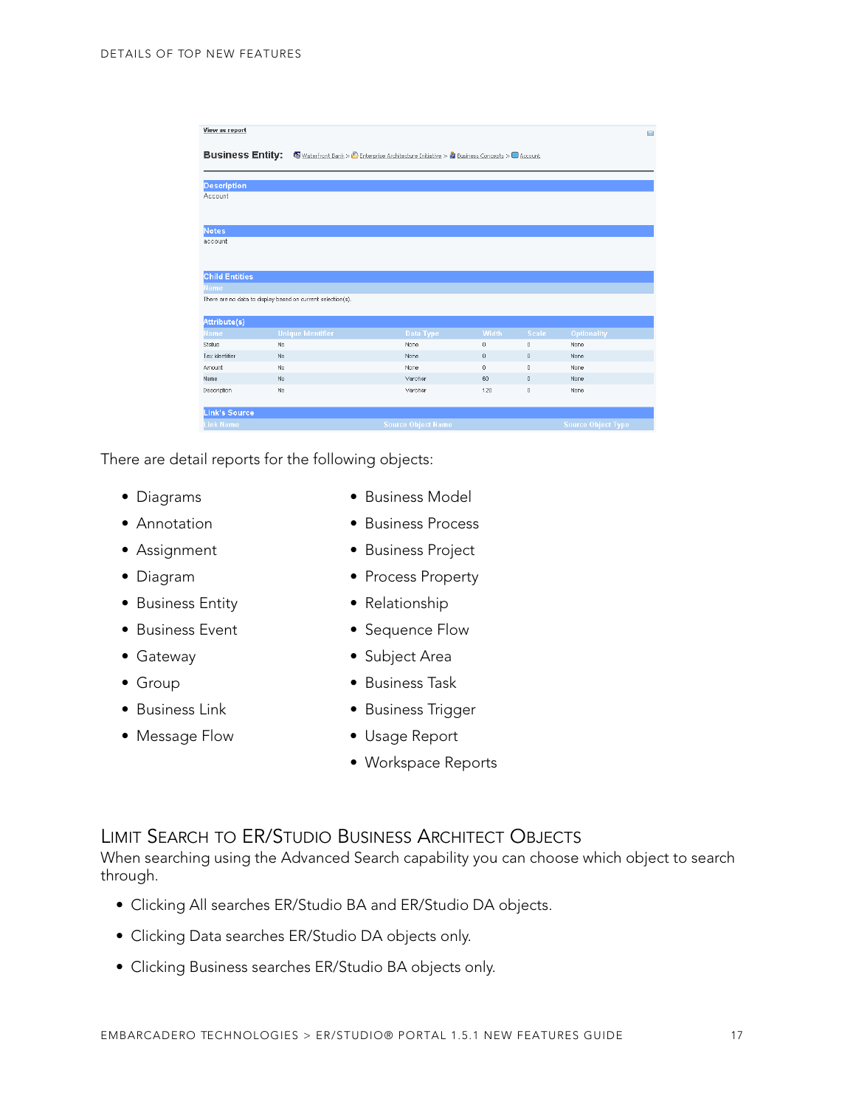| View as report          |                                                             |                                                                                                                |          |              | $\blacksquare$            |
|-------------------------|-------------------------------------------------------------|----------------------------------------------------------------------------------------------------------------|----------|--------------|---------------------------|
| <b>Business Entity:</b> |                                                             | Waterfront Bank > <sup>6</sup> Enterprise Architecture Initiative > <sup>8</sup> Business Concepts > 0 Account |          |              |                           |
| <b>Description</b>      |                                                             |                                                                                                                |          |              |                           |
| Account                 |                                                             |                                                                                                                |          |              |                           |
|                         |                                                             |                                                                                                                |          |              |                           |
| <b>Notes</b>            |                                                             |                                                                                                                |          |              |                           |
| account                 |                                                             |                                                                                                                |          |              |                           |
|                         |                                                             |                                                                                                                |          |              |                           |
| <b>Child Entities</b>   |                                                             |                                                                                                                |          |              |                           |
| Name                    |                                                             |                                                                                                                |          |              |                           |
|                         | There are no data to display based on current selection(s). |                                                                                                                |          |              |                           |
| Attribute(s)            |                                                             |                                                                                                                |          |              |                           |
| <b>Name</b>             | <b>Unique Identifier</b>                                    | Data Type                                                                                                      | Width    | <b>Scale</b> | Optionality               |
| Status                  | No                                                          | None                                                                                                           | $\bf{0}$ | $\theta$     | None                      |
| Tax Identifier          | No.                                                         | None                                                                                                           | $\theta$ | $\theta$     | None                      |
| Amount                  | No.                                                         | None                                                                                                           | $\theta$ | $\Omega$     | None                      |
| Name                    | No.                                                         | Varchar                                                                                                        | 60       | $\Omega$     | None                      |
| Description             | No.                                                         | Varchar                                                                                                        | 120      | $\Omega$     | None                      |
|                         |                                                             |                                                                                                                |          |              |                           |
| <b>Link's Source</b>    |                                                             |                                                                                                                |          |              |                           |
| <b>Link Name</b>        |                                                             | <b>Source Object Name</b>                                                                                      |          |              | <b>Source Object Type</b> |

There are detail reports for the following objects:

- 
- 
- 
- 
- Business Entity Relationship
- 
- 
- 
- 
- 
- Diagrams Business Model
- Annotation Business Process
- Assignment Business Project
- Diagram Process Property
	-
- Business Event Sequence Flow
- Gateway  **Subject Area**
- Group Business Task
- Business Link Business Trigger
- Message Flow Usage Report
	- Workspace Reports

#### <span id="page-16-0"></span>LIMIT SEARCH TO ER/STUDIO BUSINESS ARCHITECT OBJECTS

When searching using the Advanced Search capability you can choose which object to search through.

- Clicking All searches ER/Studio BA and ER/Studio DA objects.
- Clicking Data searches ER/Studio DA objects only.
- Clicking Business searches ER/Studio BA objects only.